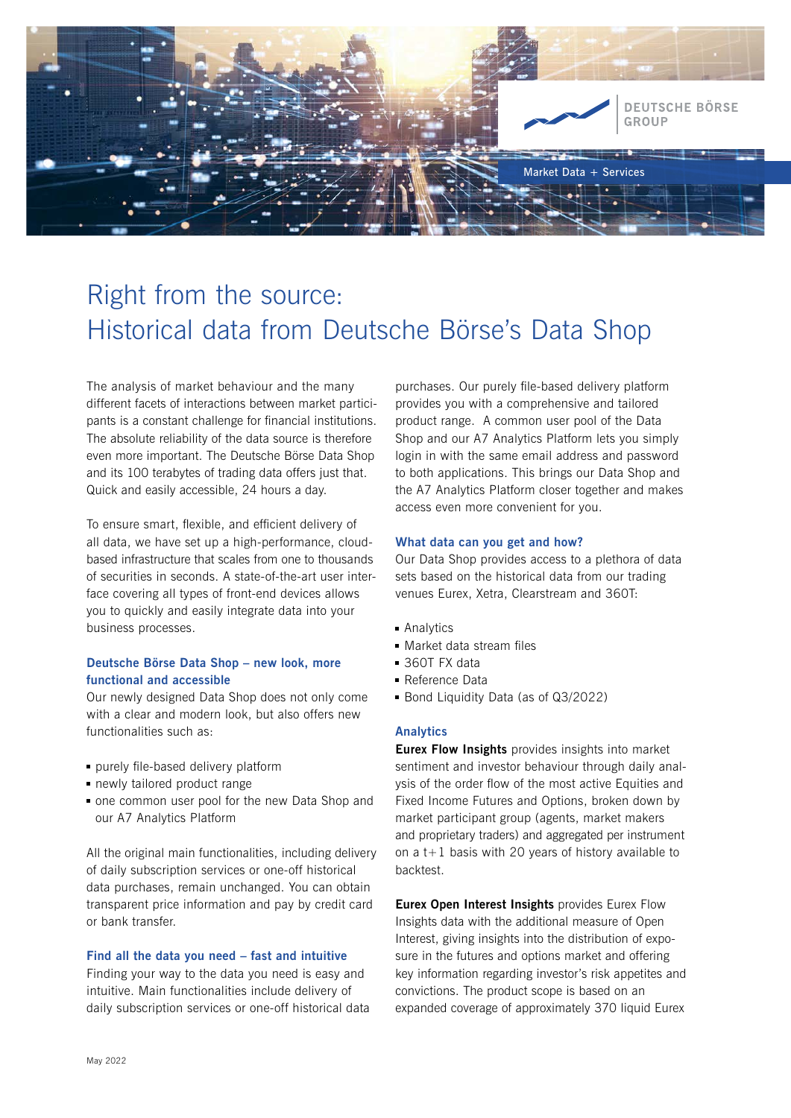

# Right from the source: Historical data from Deutsche Börse's Data Shop

The analysis of market behaviour and the many different facets of interactions between market participants is a constant challenge for financial institutions. The absolute reliability of the data source is therefore even more important. The Deutsche Börse Data Shop and its 100 terabytes of trading data offers just that. Quick and easily accessible, 24 hours a day.

To ensure smart, flexible, and efficient delivery of all data, we have set up a high-performance, cloudbased infrastructure that scales from one to thousands of securities in seconds. A state-of-the-art user interface covering all types of front-end devices allows you to quickly and easily integrate data into your business processes.

# Deutsche Börse Data Shop – new look, more functional and accessible

Our newly designed Data Shop does not only come with a clear and modern look, but also offers new functionalities such as:

- $\blacksquare$  purely file-based delivery platform
- newly tailored product range
- one common user pool for the new Data Shop and our A7 Analytics Platform

All the original main functionalities, including delivery of daily subscription services or one-off historical data purchases, remain unchanged. You can obtain transparent price information and pay by credit card or bank transfer.

## Find all the data you need – fast and intuitive

Finding your way to the data you need is easy and intuitive. Main functionalities include delivery of daily subscription services or one-off historical data

purchases. Our purely file-based delivery platform provides you with a comprehensive and tailored product range. A common user pool of the Data Shop and our A7 Analytics Platform lets you simply login in with the same email address and password to both applications. This brings our Data Shop and the A7 Analytics Platform closer together and makes access even more convenient for you.

#### What data can you get and how?

Our Data Shop provides access to a plethora of data sets based on the historical data from our trading venues Eurex, Xetra, Clearstream and 360T:

- Analytics
- $\blacksquare$  Market data stream files
- 360T FX data
- Reference Data
- Bond Liquidity Data (as of Q3/2022)

## Analytics

**Eurex Flow Insights** provides insights into market sentiment and investor behaviour through daily analysis of the order flow of the most active Equities and Fixed Income Futures and Options, broken down by market participant group (agents, market makers and proprietary traders) and aggregated per instrument on a  $t+1$  basis with 20 years of history available to backtest.

Eurex Open Interest Insights provides Eurex Flow Insights data with the additional measure of Open Interest, giving insights into the distribution of exposure in the futures and options market and offering key information regarding investor's risk appetites and convictions. The product scope is based on an expanded coverage of approximately 370 liquid Eurex